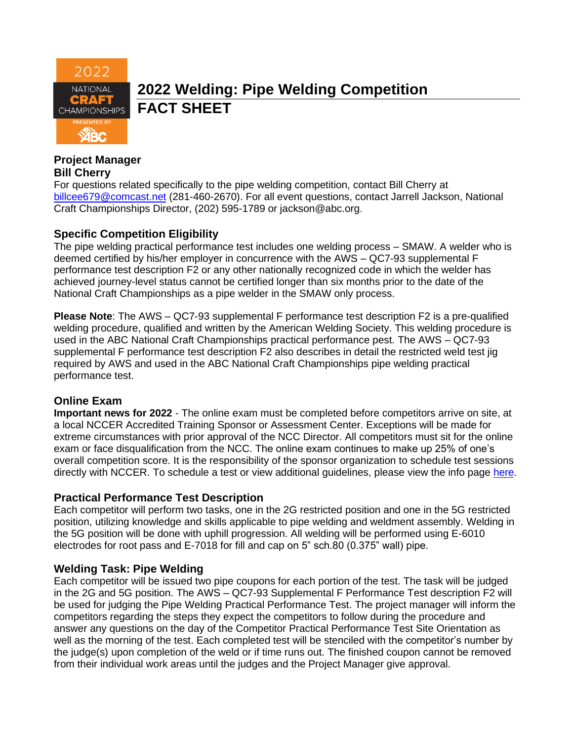

# **2022 Welding: Pipe Welding Competition FACT SHEET**

#### **Project Manager Bill Cherry**

For questions related specifically to the pipe welding competition, contact Bill Cherry at [billcee679@comcast.net](mailto:billcee679@comcast.net) (281-460-2670). For all event questions, contact Jarrell Jackson, National Craft Championships Director, (202) 595-1789 or jackson@abc.org.

### **Specific Competition Eligibility**

The pipe welding practical performance test includes one welding process – SMAW. A welder who is deemed certified by his/her employer in concurrence with the AWS – QC7-93 supplemental F performance test description F2 or any other nationally recognized code in which the welder has achieved journey-level status cannot be certified longer than six months prior to the date of the National Craft Championships as a pipe welder in the SMAW only process.

**Please Note**: The AWS – QC7-93 supplemental F performance test description F2 is a pre-qualified welding procedure, qualified and written by the American Welding Society. This welding procedure is used in the ABC National Craft Championships practical performance pest. The AWS – QC7-93 supplemental F performance test description F2 also describes in detail the restricted weld test jig required by AWS and used in the ABC National Craft Championships pipe welding practical performance test.

## **Online Exam**

**Important news for 2022** - The online exam must be completed before competitors arrive on site, at a local NCCER Accredited Training Sponsor or Assessment Center. Exceptions will be made for extreme circumstances with prior approval of the NCC Director. All competitors must sit for the online exam or face disqualification from the NCC. The online exam continues to make up 25% of one's overall competition score. It is the responsibility of the sponsor organization to schedule test sessions directly with NCCER. To schedule a test or view additional guidelines, please view the info page [here.](https://abc.org/Portals/1/NCC/National%20Craft%20Championship%20Testing%20Overview%20and%20Registration.pdf?ver=2022-01-31-154655-600)

#### **Practical Performance Test Description**

Each competitor will perform two tasks, one in the 2G restricted position and one in the 5G restricted position, utilizing knowledge and skills applicable to pipe welding and weldment assembly. Welding in the 5G position will be done with uphill progression. All welding will be performed using E-6010 electrodes for root pass and E-7018 for fill and cap on 5" sch.80 (0.375" wall) pipe.

#### **Welding Task: Pipe Welding**

Each competitor will be issued two pipe coupons for each portion of the test. The task will be judged in the 2G and 5G position. The AWS – QC7-93 Supplemental F Performance Test description F2 will be used for judging the Pipe Welding Practical Performance Test. The project manager will inform the competitors regarding the steps they expect the competitors to follow during the procedure and answer any questions on the day of the Competitor Practical Performance Test Site Orientation as well as the morning of the test. Each completed test will be stenciled with the competitor's number by the judge(s) upon completion of the weld or if time runs out. The finished coupon cannot be removed from their individual work areas until the judges and the Project Manager give approval.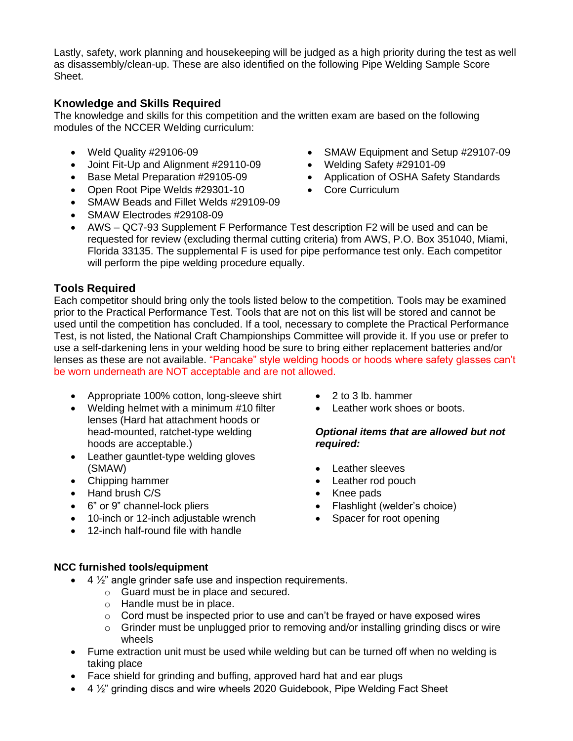Lastly, safety, work planning and housekeeping will be judged as a high priority during the test as well as disassembly/clean-up. These are also identified on the following Pipe Welding Sample Score Sheet.

#### **Knowledge and Skills Required**

The knowledge and skills for this competition and the written exam are based on the following modules of the NCCER Welding curriculum:

- Weld Quality #29106-09
- Joint Fit-Up and Alignment #29110-09
- Base Metal Preparation #29105-09
- Open Root Pipe Welds #29301-10
- SMAW Beads and Fillet Welds #29109-09
- SMAW Electrodes #29108-09
- SMAW Equipment and Setup #29107-09
- Welding Safety #29101-09
- Application of OSHA Safety Standards
- Core Curriculum
- AWS QC7-93 Supplement F Performance Test description F2 will be used and can be requested for review (excluding thermal cutting criteria) from AWS, P.O. Box 351040, Miami, Florida 33135. The supplemental F is used for pipe performance test only. Each competitor will perform the pipe welding procedure equally.

### **Tools Required**

Each competitor should bring only the tools listed below to the competition. Tools may be examined prior to the Practical Performance Test. Tools that are not on this list will be stored and cannot be used until the competition has concluded. If a tool, necessary to complete the Practical Performance Test, is not listed, the National Craft Championships Committee will provide it. If you use or prefer to use a self-darkening lens in your welding hood be sure to bring either replacement batteries and/or lenses as these are not available. "Pancake" style welding hoods or hoods where safety glasses can't be worn underneath are NOT acceptable and are not allowed.

- Appropriate 100% cotton, long-sleeve shirt
- Welding helmet with a minimum #10 filter lenses (Hard hat attachment hoods or head-mounted, ratchet-type welding hoods are acceptable.)
- Leather gauntlet-type welding gloves (SMAW)
- Chipping hammer
- Hand brush C/S
- 6" or 9" channel-lock pliers
- 10-inch or 12-inch adjustable wrench
- 12-inch half-round file with handle
- 2 to 3 lb. hammer
- Leather work shoes or boots.

#### *Optional items that are allowed but not required:*

- Leather sleeves
- Leather rod pouch
- Knee pads
- Flashlight (welder's choice)
- Spacer for root opening

#### **NCC furnished tools/equipment**

- $\bullet$  4  $\frac{1}{2}$  angle grinder safe use and inspection requirements.
	- o Guard must be in place and secured.
	- o Handle must be in place.
	- $\circ$  Cord must be inspected prior to use and can't be frayed or have exposed wires
	- $\circ$  Grinder must be unplugged prior to removing and/or installing grinding discs or wire wheels
- Fume extraction unit must be used while welding but can be turned off when no welding is taking place
- Face shield for grinding and buffing, approved hard hat and ear plugs
- 4 ½" grinding discs and wire wheels 2020 Guidebook, Pipe Welding Fact Sheet